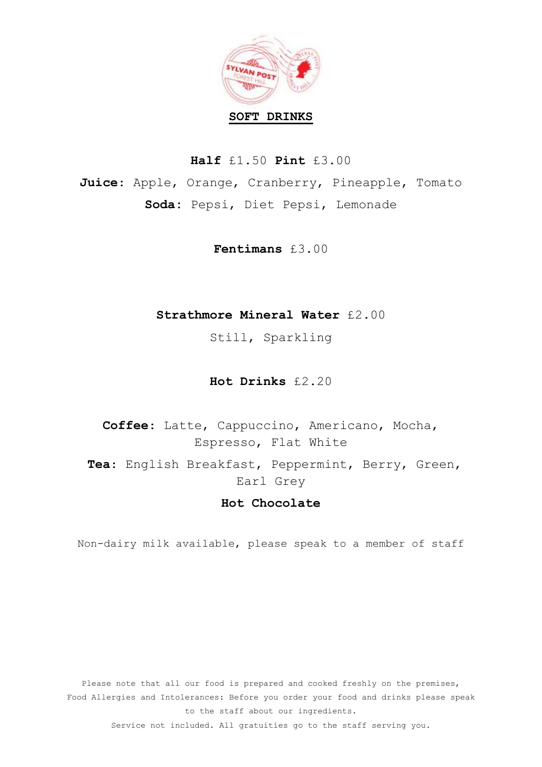

**Half** £1.50 **Pint** £3.00

**Juice**: Apple, Orange, Cranberry, Pineapple, Tomato **Soda:** Pepsi, Diet Pepsi, Lemonade

**Fentimans** £3.00

## **Strathmore Mineral Water** £2.00

Still, Sparkling

**Hot Drinks** £2.20

**Coffee**: Latte, Cappuccino, Americano, Mocha, Espresso, Flat White **Tea**: English Breakfast, Peppermint, Berry, Green, Earl Grey

## **Hot Chocolate**

Non-dairy milk available, please speak to a member of staff

Please note that all our food is prepared and cooked freshly on the premises, Food Allergies and Intolerances: Before you order your food and drinks please speak to the staff about our ingredients.

Service not included. All gratuities go to the staff serving you.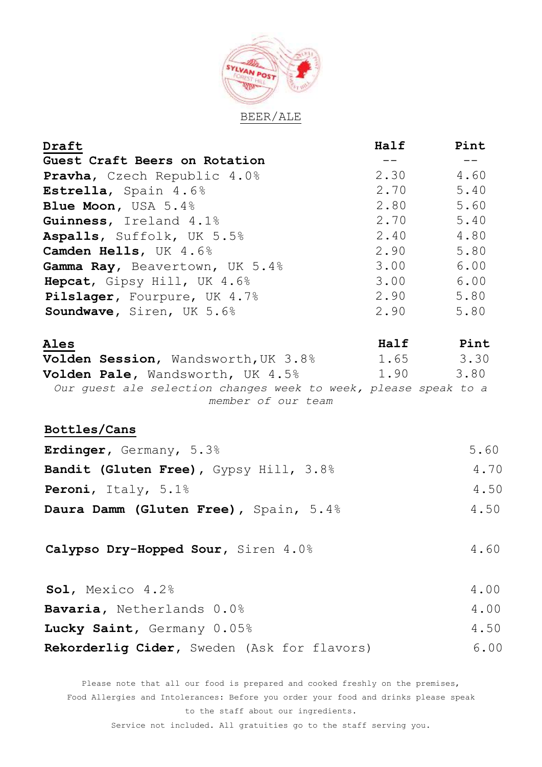

| Draft                                                           | Half  | Pint          |
|-----------------------------------------------------------------|-------|---------------|
| Guest Craft Beers on Rotation                                   | $- -$ | $- -$         |
| <b>Pravha,</b> Czech Republic 4.0%                              | 2.30  | 4.60          |
| Estrella, Spain 4.6%                                            | 2.70  | 5.40          |
| Blue Moon, USA 5.4%                                             | 2.80  | 5.60          |
| Guinness, Ireland 4.1%                                          | 2.70  | 5.40          |
| Aspalls, Suffolk, UK 5.5%                                       | 2.40  | 4.80          |
| Camden Hells, UK 4.6%                                           | 2.90  | 5.80          |
| Gamma Ray, Beavertown, UK 5.4%                                  | 3.00  | 6.00          |
| Hepcat, Gipsy Hill, UK 4.6%                                     | 3.00  | 6.00          |
| Pilslager, Fourpure, UK 4.7%                                    | 2.90  | 5.80          |
| Soundwave, Siren, UK 5.6%                                       | 2.90  | 5.80          |
| Ales                                                            |       | Half Pint     |
| Volden Session, Wandsworth, UK 3.8%                             |       | $1.65$ $3.30$ |
| Volden Pale, Wandsworth, UK 4.5%                                | 1.90  | 3.80          |
| Our guest ale selection changes week to week, please speak to a |       |               |
| member of our team                                              |       |               |
| Bottles/Cans                                                    |       |               |
|                                                                 |       |               |
| Erdinger, Germany, 5.3%                                         |       | 5.60          |
| Bandit (Gluten Free), Gypsy Hill, 3.8%                          |       | 4.70          |
| Peroni, Italy, 5.1%                                             |       | 4.50          |
| Daura Damm (Gluten Free), Spain, 5.4%                           |       | 4.50          |
| Calypso Dry-Hopped Sour, Siren 4.0%                             |       | 4.60          |
|                                                                 |       |               |
| Sol, Mexico 4.2%                                                |       | 4.00          |
| Bavaria, Netherlands 0.0%                                       |       | 4.00          |
| Lucky Saint, Germany 0.05%                                      |       | 4.50          |
| Rekorderlig Cider, Sweden (Ask for flavors)                     |       | 6.00          |

Please note that all our food is prepared and cooked freshly on the premises, Food Allergies and Intolerances: Before you order your food and drinks please speak to the staff about our ingredients.

Service not included. All gratuities go to the staff serving you.